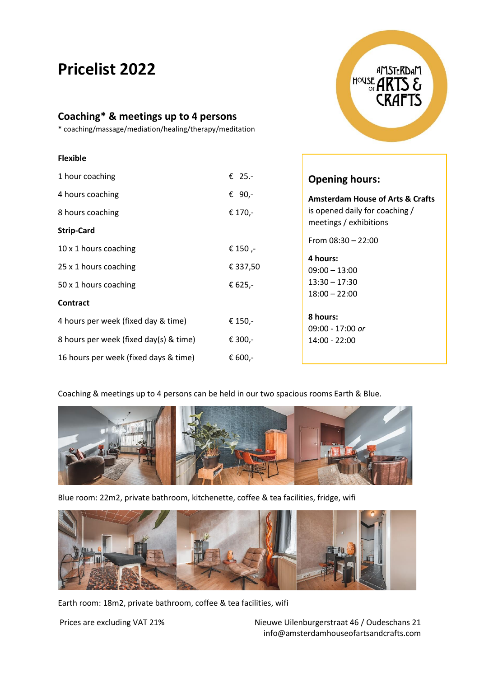# **Pricelist 2022**

**Flexible**

# **Coaching\* & meetings up to 4 persons**

\* coaching/massage/mediation/healing/therapy/meditation



| 1 hour coaching                        | € 25.-   | <b>Opening hours:</b>                       |
|----------------------------------------|----------|---------------------------------------------|
| 4 hours coaching                       | € 90,-   | <b>Amsterdam House of Arts &amp; Crafts</b> |
| 8 hours coaching                       | € 170,-  | is opened daily for coaching /              |
| <b>Strip-Card</b>                      |          | meetings / exhibitions                      |
|                                        |          | From $08:30 - 22:00$                        |
| 10 x 1 hours coaching                  | € 150,-  |                                             |
|                                        |          | 4 hours:                                    |
| 25 x 1 hours coaching                  | € 337,50 | $09:00 - 13:00$                             |
| 50 x 1 hours coaching                  | € 625,-  | $13:30 - 17:30$                             |
|                                        |          | $18:00 - 22:00$                             |
| <b>Contract</b>                        |          |                                             |
| 4 hours per week (fixed day & time)    | € 150,-  | 8 hours:                                    |
|                                        |          | 09:00 - 17:00 or                            |
| 8 hours per week (fixed day(s) & time) | € 300,-  | 14:00 - 22:00                               |
|                                        |          |                                             |
| 16 hours per week (fixed days & time)  | € 600,-  |                                             |

Coaching & meetings up to 4 persons can be held in our two spacious rooms Earth & Blue.



Blue room: 22m2, private bathroom, kitchenette, coffee & tea facilities, fridge, wifi



Earth room: 18m2, private bathroom, coffee & tea facilities, wifi

Prices are excluding VAT 21% Nieuwe Uilenburgerstraat 46 / Oudeschans 21 info@amsterdamhouseofartsandcrafts.com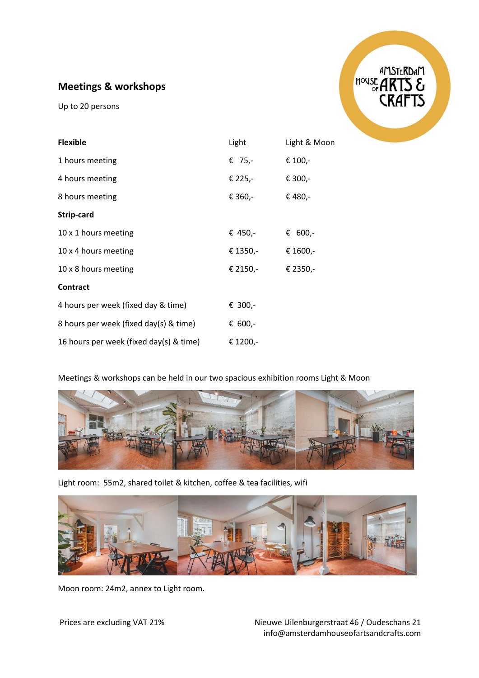## **Meetings & workshops**

Up to 20 persons



| <b>Flexible</b>                         | Light    | Light & Moon |
|-----------------------------------------|----------|--------------|
| 1 hours meeting                         | € 75,-   | € 100,-      |
| 4 hours meeting                         | € 225,-  | € 300,-      |
| 8 hours meeting                         | € 360,-  | € 480,-      |
| Strip-card                              |          |              |
| 10 x 1 hours meeting                    | € 450,-  | € 600,-      |
| 10 x 4 hours meeting                    | € 1350,- | € 1600,-     |
| 10 x 8 hours meeting                    | € 2150,- | € 2350,-     |
| <b>Contract</b>                         |          |              |
| 4 hours per week (fixed day & time)     | € 300,-  |              |
| 8 hours per week (fixed day(s) & time)  | € 600,-  |              |
| 16 hours per week (fixed day(s) & time) | € 1200,- |              |

#### Meetings & workshops can be held in our two spacious exhibition rooms Light & Moon



Light room: 55m2, shared toilet & kitchen, coffee & tea facilities, wifi



Moon room: 24m2, annex to Light room.

Prices are excluding VAT 21% Nieuwe Uilenburgerstraat 46 / Oudeschans 21 info@amsterdamhouseofartsandcrafts.com